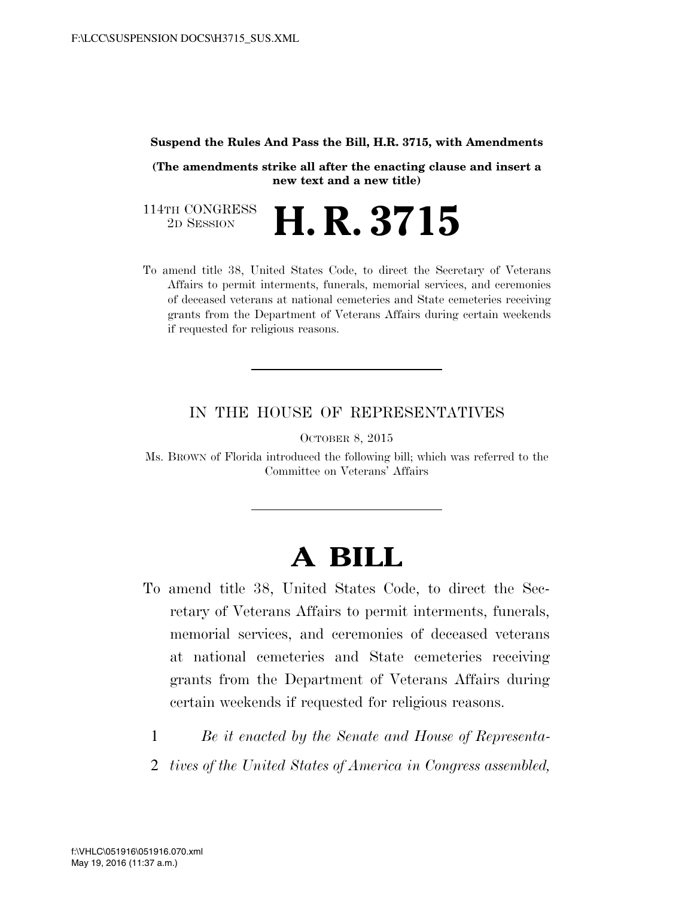## **Suspend the Rules And Pass the Bill, H.R. 3715, with Amendments**

**(The amendments strike all after the enacting clause and insert a new text and a new title)**

114TH CONGRESS<br>2D SESSION 2D SESSION **H. R. 3715**

To amend title 38, United States Code, to direct the Secretary of Veterans Affairs to permit interments, funerals, memorial services, and ceremonies of deceased veterans at national cemeteries and State cemeteries receiving grants from the Department of Veterans Affairs during certain weekends if requested for religious reasons.

## IN THE HOUSE OF REPRESENTATIVES

OCTOBER 8, 2015

Ms. BROWN of Florida introduced the following bill; which was referred to the Committee on Veterans' Affairs

## **A BILL**

- To amend title 38, United States Code, to direct the Secretary of Veterans Affairs to permit interments, funerals, memorial services, and ceremonies of deceased veterans at national cemeteries and State cemeteries receiving grants from the Department of Veterans Affairs during certain weekends if requested for religious reasons.
	- 1 *Be it enacted by the Senate and House of Representa-*
	- 2 *tives of the United States of America in Congress assembled,*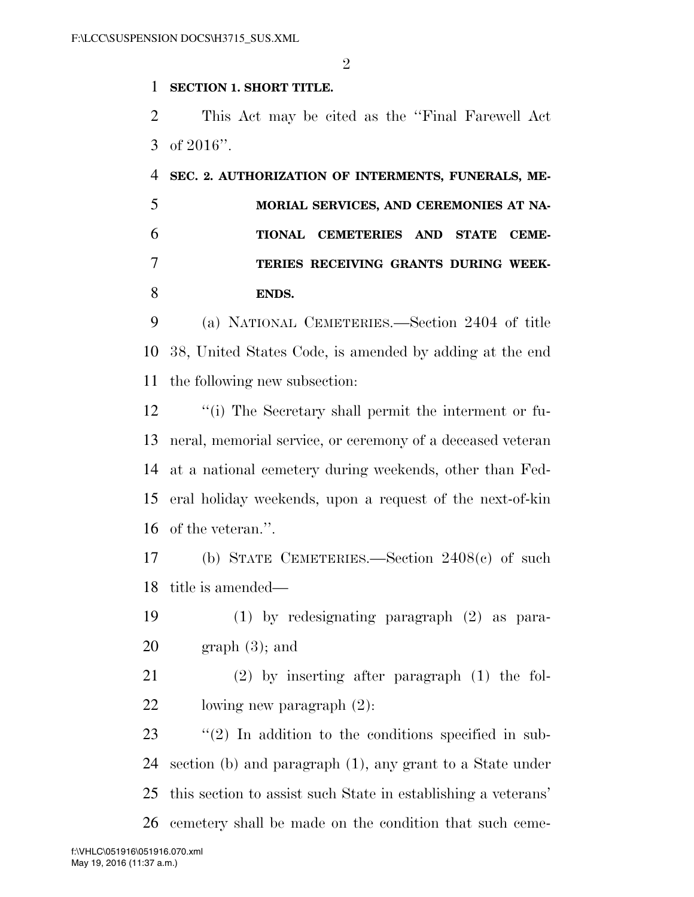$\mathfrak{D}$ 

## **SECTION 1. SHORT TITLE.**

 This Act may be cited as the ''Final Farewell Act of 2016''.

 **SEC. 2. AUTHORIZATION OF INTERMENTS, FUNERALS, ME- MORIAL SERVICES, AND CEREMONIES AT NA- TIONAL CEMETERIES AND STATE CEME- TERIES RECEIVING GRANTS DURING WEEK-ENDS.** 

 (a) NATIONAL CEMETERIES.—Section 2404 of title 38, United States Code, is amended by adding at the end the following new subsection:

 ''(i) The Secretary shall permit the interment or fu- neral, memorial service, or ceremony of a deceased veteran at a national cemetery during weekends, other than Fed- eral holiday weekends, upon a request of the next-of-kin of the veteran.''.

 (b) STATE CEMETERIES.—Section 2408(c) of such title is amended—

 (1) by redesignating paragraph (2) as para- $20 \qquad \text{graph } (3)$ ; and

 (2) by inserting after paragraph (1) the fol-lowing new paragraph (2):

 ''(2) In addition to the conditions specified in sub- section (b) and paragraph (1), any grant to a State under this section to assist such State in establishing a veterans' cemetery shall be made on the condition that such ceme